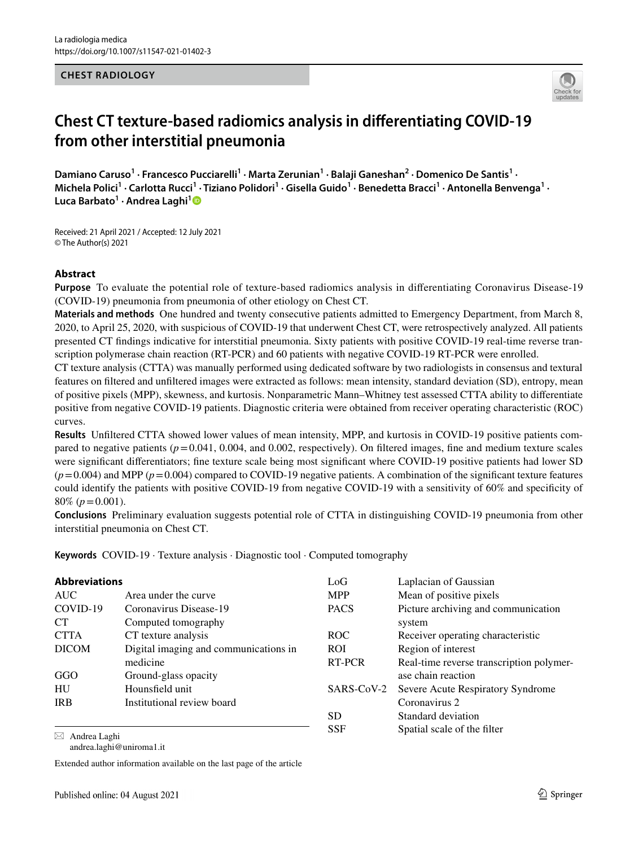#### **CHEST RADIOLOGY**



# **Chest CT texture‑based radiomics analysis in diferentiating COVID‑19 from other interstitial pneumonia**

Damiano Caruso<sup>1</sup> • Francesco Pucciarelli<sup>1</sup> • Marta Zerunian<sup>1</sup> • Balaji Ganeshan<sup>2</sup> • Domenico De Santis<sup>1</sup> • Michela Polici<sup>1</sup> · Carlotta Rucci<sup>1</sup> · Tiziano Polidori<sup>1</sup> · Gisella Guido<sup>1</sup> · Benedetta Bracci<sup>1</sup> · Antonella Benvenga<sup>1</sup> · **Luca Barbato1 · Andrea Laghi[1](http://orcid.org/0000-0002-3091-7819)**

Received: 21 April 2021 / Accepted: 12 July 2021 © The Author(s) 2021

#### **Abstract**

**Purpose** To evaluate the potential role of texture-based radiomics analysis in diferentiating Coronavirus Disease-19 (COVID-19) pneumonia from pneumonia of other etiology on Chest CT.

**Materials and methods** One hundred and twenty consecutive patients admitted to Emergency Department, from March 8, 2020, to April 25, 2020, with suspicious of COVID-19 that underwent Chest CT, were retrospectively analyzed. All patients presented CT fndings indicative for interstitial pneumonia. Sixty patients with positive COVID-19 real-time reverse transcription polymerase chain reaction (RT-PCR) and 60 patients with negative COVID-19 RT-PCR were enrolled.

CT texture analysis (CTTA) was manually performed using dedicated software by two radiologists in consensus and textural features on fltered and unfltered images were extracted as follows: mean intensity, standard deviation (SD), entropy, mean of positive pixels (MPP), skewness, and kurtosis. Nonparametric Mann–Whitney test assessed CTTA ability to diferentiate positive from negative COVID-19 patients. Diagnostic criteria were obtained from receiver operating characteristic (ROC) curves.

**Results** Unfltered CTTA showed lower values of mean intensity, MPP, and kurtosis in COVID-19 positive patients compared to negative patients  $(p=0.041, 0.004, \text{ and } 0.002, \text{ respectively})$ . On filtered images, fine and medium texture scales were signifcant diferentiators; fne texture scale being most signifcant where COVID-19 positive patients had lower SD  $(p=0.004)$  and MPP ( $p=0.004$ ) compared to COVID-19 negative patients. A combination of the significant texture features could identify the patients with positive COVID-19 from negative COVID-19 with a sensitivity of 60% and specifcity of 80% (*p*=0.001).

**Conclusions** Preliminary evaluation suggests potential role of CTTA in distinguishing COVID-19 pneumonia from other interstitial pneumonia on Chest CT.

**Keywords** COVID-19 · Texture analysis · Diagnostic tool · Computed tomography

| <b>Abbreviations</b>     |                                       | LoG         | Laplacian of Gaussian                    |
|--------------------------|---------------------------------------|-------------|------------------------------------------|
| <b>AUC</b>               | Area under the curve                  | <b>MPP</b>  | Mean of positive pixels                  |
| COVID-19                 | Coronavirus Disease-19                | <b>PACS</b> | Picture archiving and communication      |
| <b>CT</b>                | Computed tomography                   |             | system                                   |
| <b>CTTA</b>              | CT texture analysis                   | ROC.        | Receiver operating characteristic        |
| <b>DICOM</b>             | Digital imaging and communications in | <b>ROI</b>  | Region of interest                       |
|                          | medicine                              | RT-PCR      | Real-time reverse transcription polymer- |
| GGO                      | Ground-glass opacity                  |             | ase chain reaction                       |
| HU                       | Hounsfield unit                       | SARS-CoV-2  | Severe Acute Respiratory Syndrome        |
| <b>IRB</b>               | Institutional review board            |             | Coronavirus 2                            |
|                          |                                       | <b>SD</b>   | Standard deviation                       |
| $\boxtimes$ Andrea Laghi |                                       | <b>SSF</b>  | Spatial scale of the filter              |

andrea.laghi@uniroma1.it

Extended author information available on the last page of the article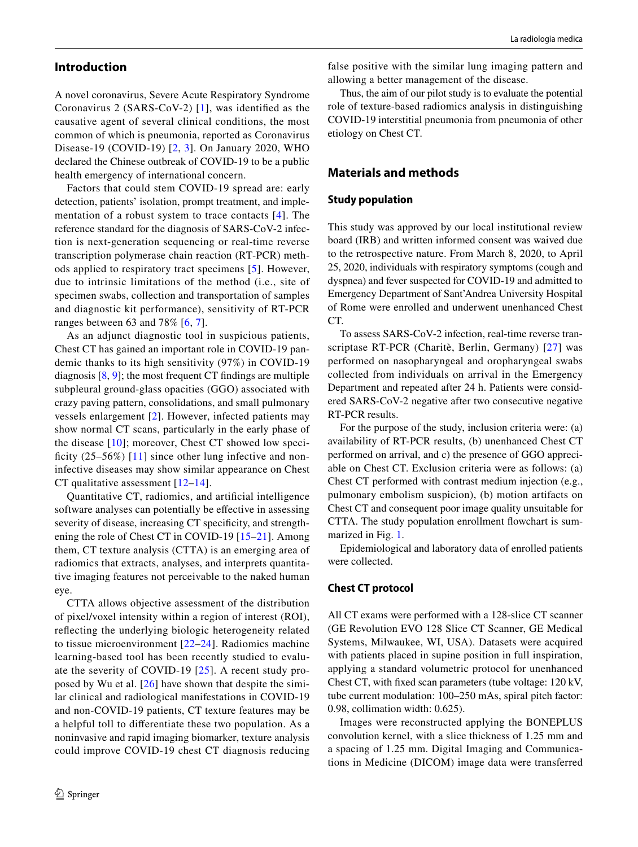## **Introduction**

A novel coronavirus, Severe Acute Respiratory Syndrome Coronavirus 2 (SARS-CoV-2) [[1\]](#page-7-0), was identifed as the causative agent of several clinical conditions, the most common of which is pneumonia, reported as Coronavirus Disease-19 (COVID-19) [[2](#page-7-1), [3](#page-7-2)]. On January 2020, WHO declared the Chinese outbreak of COVID-19 to be a public health emergency of international concern.

Factors that could stem COVID-19 spread are: early detection, patients' isolation, prompt treatment, and implementation of a robust system to trace contacts [[4](#page-7-3)]. The reference standard for the diagnosis of SARS-CoV-2 infection is next-generation sequencing or real-time reverse transcription polymerase chain reaction (RT-PCR) methods applied to respiratory tract specimens [[5](#page-7-4)]. However, due to intrinsic limitations of the method (i.e., site of specimen swabs, collection and transportation of samples and diagnostic kit performance), sensitivity of RT-PCR ranges between 63 and 78% [\[6](#page-7-5), [7\]](#page-7-6).

As an adjunct diagnostic tool in suspicious patients, Chest CT has gained an important role in COVID-19 pandemic thanks to its high sensitivity (97%) in COVID-19 diagnosis [[8,](#page-7-7) [9\]](#page-7-8); the most frequent CT fndings are multiple subpleural ground-glass opacities (GGO) associated with crazy paving pattern, consolidations, and small pulmonary vessels enlargement [[2](#page-7-1)]. However, infected patients may show normal CT scans, particularly in the early phase of the disease [[10](#page-7-9)]; moreover, Chest CT showed low specificity  $(25-56%)$  [[11](#page-7-10)] since other lung infective and noninfective diseases may show similar appearance on Chest CT qualitative assessment  $[12-14]$  $[12-14]$  $[12-14]$ .

Quantitative CT, radiomics, and artifcial intelligence software analyses can potentially be effective in assessing severity of disease, increasing CT specificity, and strengthening the role of Chest CT in COVID-19 [\[15–](#page-7-13)[21](#page-7-14)]. Among them, CT texture analysis (CTTA) is an emerging area of radiomics that extracts, analyses, and interprets quantitative imaging features not perceivable to the naked human eye.

CTTA allows objective assessment of the distribution of pixel/voxel intensity within a region of interest (ROI), refecting the underlying biologic heterogeneity related to tissue microenvironment [[22](#page-7-15)[–24\]](#page-7-16). Radiomics machine learning-based tool has been recently studied to evaluate the severity of COVID-19 [[25](#page-7-17)]. A recent study proposed by Wu et al. [[26\]](#page-8-0) have shown that despite the similar clinical and radiological manifestations in COVID-19 and non-COVID-19 patients, CT texture features may be a helpful toll to diferentiate these two population. As a noninvasive and rapid imaging biomarker, texture analysis could improve COVID-19 chest CT diagnosis reducing

false positive with the similar lung imaging pattern and allowing a better management of the disease.

Thus, the aim of our pilot study is to evaluate the potential role of texture-based radiomics analysis in distinguishing COVID-19 interstitial pneumonia from pneumonia of other etiology on Chest CT.

## **Materials and methods**

#### **Study population**

This study was approved by our local institutional review board (IRB) and written informed consent was waived due to the retrospective nature. From March 8, 2020, to April 25, 2020, individuals with respiratory symptoms (cough and dyspnea) and fever suspected for COVID-19 and admitted to Emergency Department of Sant'Andrea University Hospital of Rome were enrolled and underwent unenhanced Chest CT.

To assess SARS-CoV-2 infection, real-time reverse transcriptase RT-PCR (Charitè, Berlin, Germany) [[27](#page-8-1)] was performed on nasopharyngeal and oropharyngeal swabs collected from individuals on arrival in the Emergency Department and repeated after 24 h. Patients were considered SARS-CoV-2 negative after two consecutive negative RT-PCR results.

For the purpose of the study, inclusion criteria were: (a) availability of RT-PCR results, (b) unenhanced Chest CT performed on arrival, and c) the presence of GGO appreciable on Chest CT. Exclusion criteria were as follows: (a) Chest CT performed with contrast medium injection (e.g., pulmonary embolism suspicion), (b) motion artifacts on Chest CT and consequent poor image quality unsuitable for CTTA. The study population enrollment fowchart is summarized in Fig. [1](#page-2-0).

Epidemiological and laboratory data of enrolled patients were collected.

#### **Chest CT protocol**

All CT exams were performed with a 128-slice CT scanner (GE Revolution EVO 128 Slice CT Scanner, GE Medical Systems, Milwaukee, WI, USA). Datasets were acquired with patients placed in supine position in full inspiration, applying a standard volumetric protocol for unenhanced Chest CT, with fxed scan parameters (tube voltage: 120 kV, tube current modulation: 100–250 mAs, spiral pitch factor: 0.98, collimation width: 0.625).

Images were reconstructed applying the BONEPLUS convolution kernel, with a slice thickness of 1.25 mm and a spacing of 1.25 mm. Digital Imaging and Communications in Medicine (DICOM) image data were transferred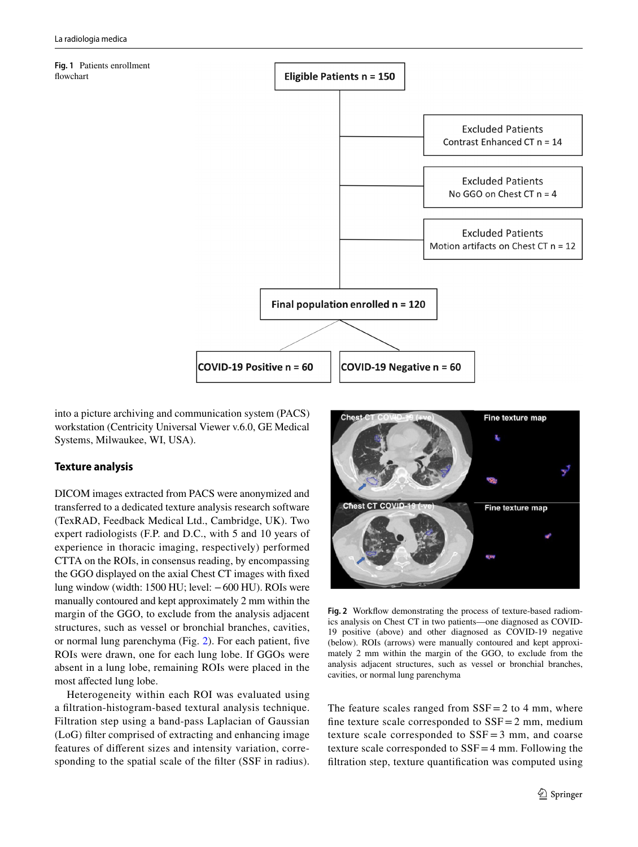<span id="page-2-0"></span>**Fig. 1** Patients enrollment fowchart **Eligible Patients n = 150 Excluded Patients** Contrast Enhanced CT  $n = 14$ **Excluded Patients** No GGO on Chest CT  $n = 4$ **Excluded Patients** Motion artifacts on Chest CT  $n = 12$ Final population enrolled  $n = 120$ 

COVID-19 Positive n = 60 **COVID-19 Negative n = 60** 

into a picture archiving and communication system (PACS) workstation (Centricity Universal Viewer v.6.0, GE Medical Systems, Milwaukee, WI, USA).

## **Texture analysis**

DICOM images extracted from PACS were anonymized and transferred to a dedicated texture analysis research software (TexRAD, Feedback Medical Ltd., Cambridge, UK). Two expert radiologists (F.P. and D.C., with 5 and 10 years of experience in thoracic imaging, respectively) performed CTTA on the ROIs, in consensus reading, by encompassing the GGO displayed on the axial Chest CT images with fxed lung window (width: 1500 HU; level: −600 HU). ROIs were manually contoured and kept approximately 2 mm within the margin of the GGO, to exclude from the analysis adjacent structures, such as vessel or bronchial branches, cavities, or normal lung parenchyma (Fig. [2](#page-2-1)). For each patient, fve ROIs were drawn, one for each lung lobe. If GGOs were absent in a lung lobe, remaining ROIs were placed in the most afected lung lobe.

Heterogeneity within each ROI was evaluated using a fltration-histogram-based textural analysis technique. Filtration step using a band-pass Laplacian of Gaussian (LoG) flter comprised of extracting and enhancing image features of diferent sizes and intensity variation, corresponding to the spatial scale of the flter (SSF in radius).



Fig. 2 Workflow demonstrating the process of texture-based radiomics analysis on Chest CT in two patients—one diagnosed as COVID-19 positive (above) and other diagnosed as COVID-19 negative (below). ROIs (arrows) were manually contoured and kept approximately 2 mm within the margin of the GGO, to exclude from the analysis adjacent structures, such as vessel or bronchial branches, cavities, or normal lung parenchyma

<span id="page-2-1"></span>The feature scales ranged from  $SSF = 2$  to 4 mm, where fine texture scale corresponded to  $SSF = 2$  mm, medium texture scale corresponded to  $SSF = 3$  mm, and coarse texture scale corresponded to  $SSF = 4$  mm. Following the fltration step, texture quantifcation was computed using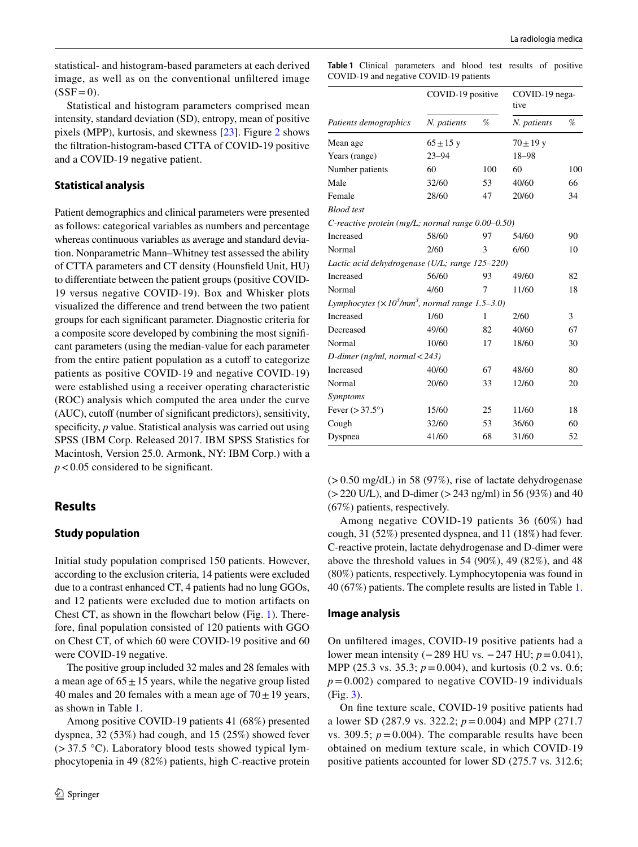statistical- and histogram-based parameters at each derived image, as well as on the conventional unfltered image  $(SSF=0)$ .

Statistical and histogram parameters comprised mean intensity, standard deviation (SD), entropy, mean of positive pixels (MPP), kurtosis, and skewness [[23\]](#page-7-18). Figure [2](#page-2-1) shows the fltration-histogram-based CTTA of COVID-19 positive and a COVID-19 negative patient.

#### **Statistical analysis**

Patient demographics and clinical parameters were presented as follows: categorical variables as numbers and percentage whereas continuous variables as average and standard deviation. Nonparametric Mann–Whitney test assessed the ability of CTTA parameters and CT density (Hounsfeld Unit, HU) to diferentiate between the patient groups (positive COVID-19 versus negative COVID-19). Box and Whisker plots visualized the diference and trend between the two patient groups for each signifcant parameter. Diagnostic criteria for a composite score developed by combining the most signifcant parameters (using the median-value for each parameter from the entire patient population as a cutoff to categorize patients as positive COVID-19 and negative COVID-19) were established using a receiver operating characteristic (ROC) analysis which computed the area under the curve (AUC), cutoff (number of significant predictors), sensitivity, specificity, *p* value. Statistical analysis was carried out using SPSS (IBM Corp. Released 2017. IBM SPSS Statistics for Macintosh, Version 25.0. Armonk, NY: IBM Corp.) with a  $p < 0.05$  considered to be significant.

#### **Results**

#### **Study population**

Initial study population comprised 150 patients. However, according to the exclusion criteria, 14 patients were excluded due to a contrast enhanced CT, 4 patients had no lung GGOs, and 12 patients were excluded due to motion artifacts on Chest CT, as shown in the fowchart below (Fig. [1\)](#page-2-0). Therefore, fnal population consisted of 120 patients with GGO on Chest CT, of which 60 were COVID-19 positive and 60 were COVID-19 negative.

The positive group included 32 males and 28 females with a mean age of  $65 \pm 15$  years, while the negative group listed 40 males and 20 females with a mean age of  $70 \pm 19$  years, as shown in Table [1.](#page-3-0)

Among positive COVID-19 patients 41 (68%) presented dyspnea, 32 (53%) had cough, and 15 (25%) showed fever  $(>37.5 \text{ °C})$ . Laboratory blood tests showed typical lymphocytopenia in 49 (82%) patients, high C-reactive protein

<span id="page-3-0"></span>**Table 1** Clinical parameters and blood test results of positive COVID-19 and negative COVID-19 patients

|                                                                      | COVID-19 positive |     | COVID-19 nega-<br>tive |     |
|----------------------------------------------------------------------|-------------------|-----|------------------------|-----|
| Patients demographics                                                | N. patients       | %   | N. patients            | %   |
| Mean age                                                             | $65 \pm 15$ y     |     | $70 \pm 19$ y          |     |
| Years (range)                                                        | $23 - 94$         |     | 18-98                  |     |
| Number patients                                                      | 60                | 100 | 60                     | 100 |
| Male                                                                 | 32/60             | 53  | 40/60                  | 66  |
| Female                                                               | 28/60             | 47  | 20/60                  | 34  |
| <b>Blood</b> test                                                    |                   |     |                        |     |
| C-reactive protein (mg/L; normal range $0.00-0.50$ )                 |                   |     |                        |     |
| <b>Increased</b>                                                     | 58/60             | 97  | 54/60                  | 90  |
| Normal                                                               | 2/60              | 3   | 6/60                   | 10  |
| Lactic acid dehydrogenase (U/L; range 125–220)                       |                   |     |                        |     |
| Increased                                                            | 56/60             | 93  | 49/60                  | 82  |
| Normal                                                               | 4/60              | 7   | 11/60                  | 18  |
| Lymphocytes ( $\times 10^3$ /mm <sup>3</sup> , normal range 1.5–3.0) |                   |     |                        |     |
| Increased                                                            | 1/60              | 1   | 2/60                   | 3   |
| Decreased                                                            | 49/60             | 82  | 40/60                  | 67  |
| Normal                                                               | 10/60             | 17  | 18/60                  | 30  |
| D-dimer (ng/ml, normal $<$ 243)                                      |                   |     |                        |     |
| Increased                                                            | 40/60             | 67  | 48/60                  | 80  |
| Normal                                                               | 20/60             | 33  | 12/60                  | 20  |
| Symptoms                                                             |                   |     |                        |     |
| Fever $(>37.5^{\circ})$                                              | 15/60             | 25  | 11/60                  | 18  |
| Cough                                                                | 32/60             | 53  | 36/60                  | 60  |
| Dyspnea                                                              | 41/60             | 68  | 31/60                  | 52  |

 $(> 0.50 \text{ mg/dL})$  in 58 (97%), rise of lactate dehydrogenase  $(>220 \text{ U/L})$ , and D-dimer  $(>243 \text{ ng/ml})$  in 56 (93%) and 40 (67%) patients, respectively.

Among negative COVID-19 patients 36 (60%) had cough, 31 (52%) presented dyspnea, and 11 (18%) had fever. C-reactive protein, lactate dehydrogenase and D-dimer were above the threshold values in 54 (90%), 49 (82%), and 48 (80%) patients, respectively. Lymphocytopenia was found in 40 (67%) patients. The complete results are listed in Table [1.](#page-3-0)

#### **Image analysis**

On unfltered images, COVID-19 positive patients had a lower mean intensity (−289 HU vs. −247 HU; *p*=0.041), MPP (25.3 vs. 35.3; *p* = 0.004), and kurtosis (0.2 vs. 0.6;  $p = 0.002$ ) compared to negative COVID-19 individuals (Fig. [3\)](#page-4-0).

On fne texture scale, COVID-19 positive patients had a lower SD (287.9 vs. 322.2; *p*=0.004) and MPP (271.7 vs. 309.5;  $p = 0.004$ ). The comparable results have been obtained on medium texture scale, in which COVID-19 positive patients accounted for lower SD (275.7 vs. 312.6;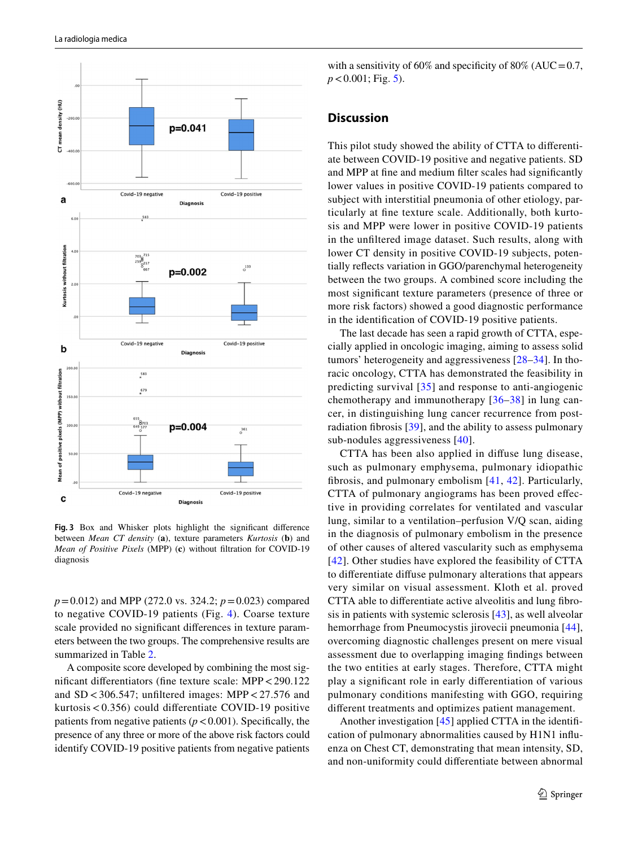

<span id="page-4-0"></span>**Fig. 3** Box and Whisker plots highlight the signifcant diference between *Mean CT density* (**a**), texture parameters *Kurtosis* (**b**) and *Mean of Positive Pixels* (MPP) (**c**) without fltration for COVID-19 diagnosis

*p*=0.012) and MPP (272.0 vs. 324.2; *p*=0.023) compared to negative COVID-19 patients (Fig. [4\)](#page-5-0). Coarse texture scale provided no signifcant diferences in texture parameters between the two groups. The comprehensive results are summarized in Table [2](#page-6-0).

A composite score developed by combining the most signifcant diferentiators (fne texture scale: MPP<290.122 and  $SD < 306.547$ ; unfiltered images: MPP  $< 27.576$  and kurtosis<0.356) could diferentiate COVID-19 positive patients from negative patients  $(p < 0.001)$ . Specifically, the presence of any three or more of the above risk factors could identify COVID-19 positive patients from negative patients with a sensitivity of 60% and specificity of 80% (AUC =  $0.7$ , *p*<0.001; Fig. [5](#page-6-1)).

#### **Discussion**

This pilot study showed the ability of CTTA to diferentiate between COVID-19 positive and negative patients. SD and MPP at fne and medium flter scales had signifcantly lower values in positive COVID-19 patients compared to subject with interstitial pneumonia of other etiology, particularly at fne texture scale. Additionally, both kurtosis and MPP were lower in positive COVID-19 patients in the unfltered image dataset. Such results, along with lower CT density in positive COVID-19 subjects, potentially refects variation in GGO/parenchymal heterogeneity between the two groups. A combined score including the most signifcant texture parameters (presence of three or more risk factors) showed a good diagnostic performance in the identifcation of COVID-19 positive patients.

The last decade has seen a rapid growth of CTTA, especially applied in oncologic imaging, aiming to assess solid tumors' heterogeneity and aggressiveness [[28–](#page-8-2)[34](#page-8-3)]. In thoracic oncology, CTTA has demonstrated the feasibility in predicting survival [[35](#page-8-4)] and response to anti-angiogenic chemotherapy and immunotherapy [[36–](#page-8-5)[38](#page-8-6)] in lung cancer, in distinguishing lung cancer recurrence from postradiation fbrosis [[39\]](#page-8-7), and the ability to assess pulmonary sub-nodules aggressiveness [[40\]](#page-8-8).

CTTA has been also applied in difuse lung disease, such as pulmonary emphysema, pulmonary idiopathic fbrosis, and pulmonary embolism [[41,](#page-8-9) [42\]](#page-8-10). Particularly, CTTA of pulmonary angiograms has been proved efective in providing correlates for ventilated and vascular lung, similar to a ventilation–perfusion V/Q scan, aiding in the diagnosis of pulmonary embolism in the presence of other causes of altered vascularity such as emphysema [[42](#page-8-10)]. Other studies have explored the feasibility of CTTA to diferentiate difuse pulmonary alterations that appears very similar on visual assessment. Kloth et al. proved CTTA able to diferentiate active alveolitis and lung fbrosis in patients with systemic sclerosis [[43\]](#page-8-11), as well alveolar hemorrhage from Pneumocystis jirovecii pneumonia [[44](#page-8-12)], overcoming diagnostic challenges present on mere visual assessment due to overlapping imaging fndings between the two entities at early stages. Therefore, CTTA might play a signifcant role in early diferentiation of various pulmonary conditions manifesting with GGO, requiring diferent treatments and optimizes patient management.

Another investigation [[45\]](#page-8-13) applied CTTA in the identifcation of pulmonary abnormalities caused by H1N1 infuenza on Chest CT, demonstrating that mean intensity, SD, and non-uniformity could diferentiate between abnormal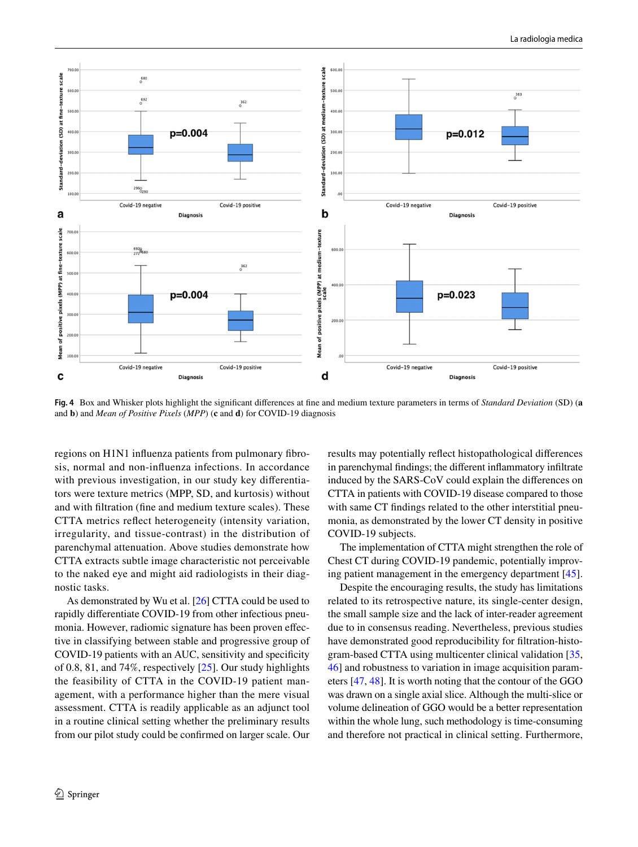

<span id="page-5-0"></span>**Fig. 4** Box and Whisker plots highlight the signifcant diferences at fne and medium texture parameters in terms of *Standard Deviation* (SD) (**a** and **b**) and *Mean of Positive Pixels* (*MPP*) (**c** and **d**) for COVID-19 diagnosis

regions on H1N1 infuenza patients from pulmonary fbrosis, normal and non-infuenza infections. In accordance with previous investigation, in our study key differentiators were texture metrics (MPP, SD, and kurtosis) without and with fltration (fne and medium texture scales). These CTTA metrics refect heterogeneity (intensity variation, irregularity, and tissue-contrast) in the distribution of parenchymal attenuation. Above studies demonstrate how CTTA extracts subtle image characteristic not perceivable to the naked eye and might aid radiologists in their diagnostic tasks.

As demonstrated by Wu et al. [[26\]](#page-8-0) CTTA could be used to rapidly diferentiate COVID-19 from other infectious pneumonia. However, radiomic signature has been proven efective in classifying between stable and progressive group of COVID-19 patients with an AUC, sensitivity and specifcity of 0.8, 81, and 74%, respectively [\[25](#page-7-17)]. Our study highlights the feasibility of CTTA in the COVID-19 patient management, with a performance higher than the mere visual assessment. CTTA is readily applicable as an adjunct tool in a routine clinical setting whether the preliminary results from our pilot study could be confrmed on larger scale. Our results may potentially refect histopathological diferences in parenchymal fndings; the diferent infammatory infltrate induced by the SARS-CoV could explain the diferences on CTTA in patients with COVID-19 disease compared to those with same CT fndings related to the other interstitial pneumonia, as demonstrated by the lower CT density in positive COVID-19 subjects.

The implementation of CTTA might strengthen the role of Chest CT during COVID-19 pandemic, potentially improving patient management in the emergency department [\[45](#page-8-13)].

Despite the encouraging results, the study has limitations related to its retrospective nature, its single-center design, the small sample size and the lack of inter-reader agreement due to in consensus reading. Nevertheless, previous studies have demonstrated good reproducibility for fltration-histogram-based CTTA using multicenter clinical validation [[35,](#page-8-4) [46](#page-8-14)] and robustness to variation in image acquisition parameters [\[47](#page-8-15), [48](#page-8-16)]. It is worth noting that the contour of the GGO was drawn on a single axial slice. Although the multi-slice or volume delineation of GGO would be a better representation within the whole lung, such methodology is time-consuming and therefore not practical in clinical setting. Furthermore,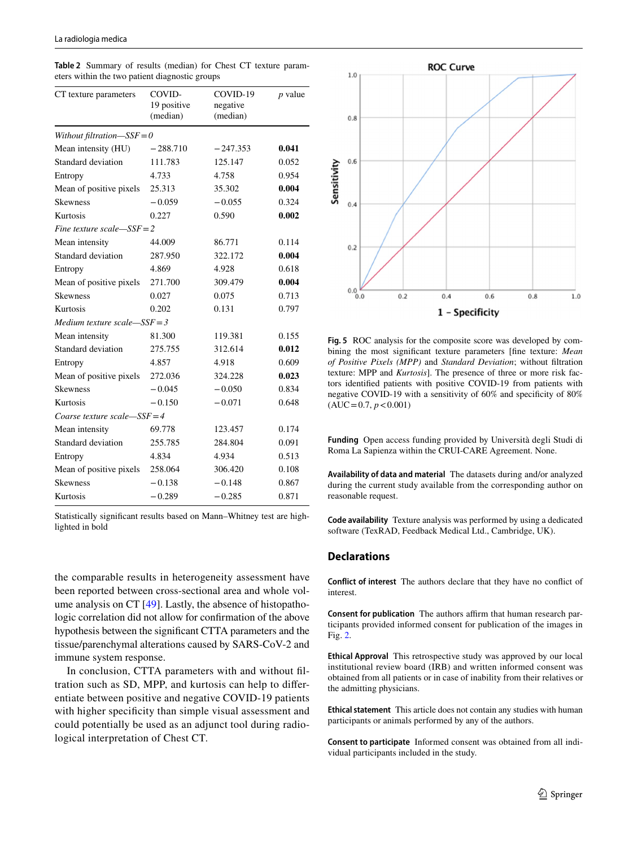<span id="page-6-0"></span>**Table 2** Summary of results (median) for Chest CT texture parameters within the two patient diagnostic groups

| CT texture parameters         | COVID-<br>19 positive<br>(median) | COVID-19<br>negative<br>(median) | $p$ value |  |  |  |  |
|-------------------------------|-----------------------------------|----------------------------------|-----------|--|--|--|--|
| Without filtration- $SSE = 0$ |                                   |                                  |           |  |  |  |  |
| Mean intensity (HU)           | $-288.710$                        | $-247.353$                       | 0.041     |  |  |  |  |
| Standard deviation            | 111.783                           | 125.147                          | 0.052     |  |  |  |  |
| Entropy                       | 4.733                             | 4.758                            | 0.954     |  |  |  |  |
| Mean of positive pixels       | 25.313                            | 35.302                           | 0.004     |  |  |  |  |
| <b>Skewness</b>               | $-0.059$                          | $-0.055$                         | 0.324     |  |  |  |  |
| Kurtosis                      | 0.227                             | 0.590                            | 0.002     |  |  |  |  |
| Fine texture scale— $SSE = 2$ |                                   |                                  |           |  |  |  |  |
| Mean intensity                | 44.009                            | 86.771                           | 0.114     |  |  |  |  |
| Standard deviation            | 287.950                           | 322.172                          | 0.004     |  |  |  |  |
| Entropy                       | 4.869                             | 4.928                            | 0.618     |  |  |  |  |
| Mean of positive pixels       | 271.700                           | 309.479                          | 0.004     |  |  |  |  |
| <b>Skewness</b>               | 0.027                             | 0.075                            | 0.713     |  |  |  |  |
| Kurtosis                      | 0.202                             | 0.131                            | 0.797     |  |  |  |  |
| Medium texture scale—SSF = 3  |                                   |                                  |           |  |  |  |  |
| Mean intensity                | 81.300                            | 119.381                          | 0.155     |  |  |  |  |
| Standard deviation            | 275.755                           | 312.614                          | 0.012     |  |  |  |  |
| Entropy                       | 4.857                             | 4.918                            | 0.609     |  |  |  |  |
| Mean of positive pixels       | 272.036                           | 324.228                          | 0.023     |  |  |  |  |
| <b>Skewness</b>               | $-0.045$                          | $-0.050$                         | 0.834     |  |  |  |  |
| Kurtosis                      | $-0.150$                          | $-0.071$                         | 0.648     |  |  |  |  |
| Coarse texture scale—SSF = 4  |                                   |                                  |           |  |  |  |  |
| Mean intensity                | 69.778                            | 123.457                          | 0.174     |  |  |  |  |
| Standard deviation            | 255.785                           | 284.804                          | 0.091     |  |  |  |  |
| Entropy                       | 4.834                             | 4.934                            | 0.513     |  |  |  |  |
| Mean of positive pixels       | 258.064                           | 306.420                          | 0.108     |  |  |  |  |
| <b>Skewness</b>               | $-0.138$                          | $-0.148$                         | 0.867     |  |  |  |  |
| Kurtosis                      | $-0.289$                          | $-0.285$                         | 0.871     |  |  |  |  |

Statistically signifcant results based on Mann–Whitney test are highlighted in bold

the comparable results in heterogeneity assessment have been reported between cross-sectional area and whole volume analysis on CT [\[49](#page-8-17)]. Lastly, the absence of histopathologic correlation did not allow for confrmation of the above hypothesis between the signifcant CTTA parameters and the tissue/parenchymal alterations caused by SARS-CoV-2 and immune system response.

In conclusion, CTTA parameters with and without fltration such as SD, MPP, and kurtosis can help to diferentiate between positive and negative COVID-19 patients with higher specificity than simple visual assessment and could potentially be used as an adjunct tool during radiological interpretation of Chest CT.



<span id="page-6-1"></span>**Fig. 5** ROC analysis for the composite score was developed by combining the most signifcant texture parameters [fne texture: *Mean of Positive Pixels (MPP)* and *Standard Deviation*; without fltration texture: MPP and *Kurtosis*]. The presence of three or more risk factors identifed patients with positive COVID-19 from patients with negative COVID-19 with a sensitivity of 60% and specifcity of 80%  $(AUC=0.7, p<0.001)$ 

**Funding** Open access funding provided by Università degli Studi di Roma La Sapienza within the CRUI-CARE Agreement. None.

**Availability of data and material** The datasets during and/or analyzed during the current study available from the corresponding author on reasonable request.

**Code availability** Texture analysis was performed by using a dedicated software (TexRAD, Feedback Medical Ltd., Cambridge, UK).

#### **Declarations**

**Conflict of interest** The authors declare that they have no confict of interest.

**Consent for publication** The authors affirm that human research participants provided informed consent for publication of the images in Fig. [2](#page-2-1).

**Ethical Approval** This retrospective study was approved by our local institutional review board (IRB) and written informed consent was obtained from all patients or in case of inability from their relatives or the admitting physicians.

**Ethical statement** This article does not contain any studies with human participants or animals performed by any of the authors.

**Consent to participate** Informed consent was obtained from all individual participants included in the study.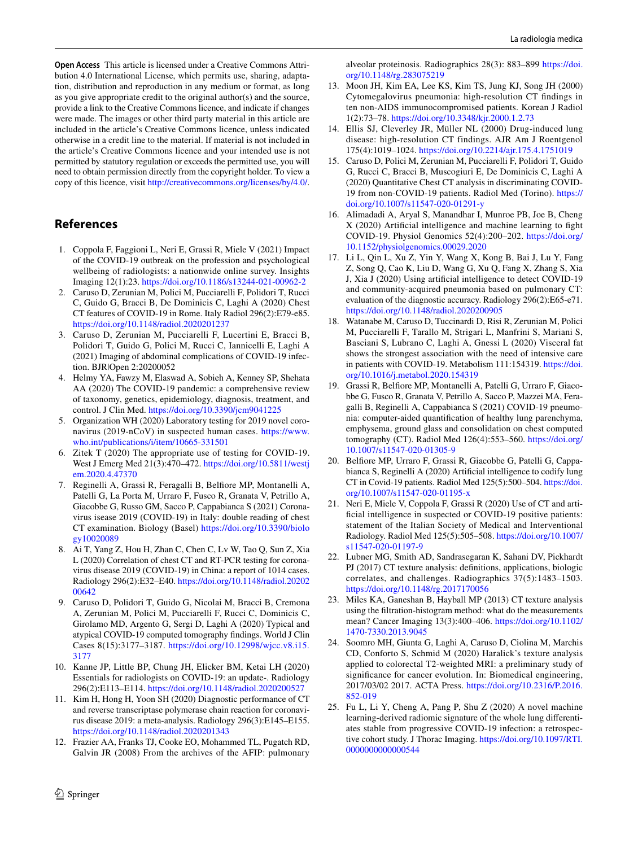**Open Access** This article is licensed under a Creative Commons Attribution 4.0 International License, which permits use, sharing, adaptation, distribution and reproduction in any medium or format, as long as you give appropriate credit to the original author(s) and the source, provide a link to the Creative Commons licence, and indicate if changes were made. The images or other third party material in this article are included in the article's Creative Commons licence, unless indicated otherwise in a credit line to the material. If material is not included in the article's Creative Commons licence and your intended use is not permitted by statutory regulation or exceeds the permitted use, you will need to obtain permission directly from the copyright holder. To view a copy of this licence, visit <http://creativecommons.org/licenses/by/4.0/>.

# **References**

- <span id="page-7-0"></span>1. Coppola F, Faggioni L, Neri E, Grassi R, Miele V (2021) Impact of the COVID-19 outbreak on the profession and psychological wellbeing of radiologists: a nationwide online survey. Insights Imaging 12(1):23. <https://doi.org/10.1186/s13244-021-00962-2>
- <span id="page-7-1"></span>2. Caruso D, Zerunian M, Polici M, Pucciarelli F, Polidori T, Rucci C, Guido G, Bracci B, De Dominicis C, Laghi A (2020) Chest CT features of COVID-19 in Rome. Italy Radiol 296(2):E79-e85. <https://doi.org/10.1148/radiol.2020201237>
- <span id="page-7-2"></span>3. Caruso D, Zerunian M, Pucciarelli F, Lucertini E, Bracci B, Polidori T, Guido G, Polici M, Rucci C, Iannicelli E, Laghi A (2021) Imaging of abdominal complications of COVID-19 infection. BJR|Open 2:20200052
- <span id="page-7-3"></span>4. Helmy YA, Fawzy M, Elaswad A, Sobieh A, Kenney SP, Shehata AA (2020) The COVID-19 pandemic: a comprehensive review of taxonomy, genetics, epidemiology, diagnosis, treatment, and control. J Clin Med. <https://doi.org/10.3390/jcm9041225>
- <span id="page-7-4"></span>5. Organization WH (2020) Laboratory testing for 2019 novel coronavirus (2019-nCoV) in suspected human cases. [https://www.](https://www.who.int/publications/i/item/10665-331501) [who.int/publications/i/item/10665-331501](https://www.who.int/publications/i/item/10665-331501)
- <span id="page-7-5"></span>6. Zitek T (2020) The appropriate use of testing for COVID-19. West J Emerg Med 21(3):470–472. [https://doi.org/10.5811/westj](https://doi.org/10.5811/westjem.2020.4.47370) [em.2020.4.47370](https://doi.org/10.5811/westjem.2020.4.47370)
- <span id="page-7-6"></span>7. Reginelli A, Grassi R, Feragalli B, Belfore MP, Montanelli A, Patelli G, La Porta M, Urraro F, Fusco R, Granata V, Petrillo A, Giacobbe G, Russo GM, Sacco P, Cappabianca S (2021) Coronavirus isease 2019 (COVID-19) in Italy: double reading of chest CT examination. Biology (Basel) [https://doi.org/10.3390/biolo](https://doi.org/10.3390/biology10020089) [gy10020089](https://doi.org/10.3390/biology10020089)
- <span id="page-7-7"></span>8. Ai T, Yang Z, Hou H, Zhan C, Chen C, Lv W, Tao Q, Sun Z, Xia L (2020) Correlation of chest CT and RT-PCR testing for coronavirus disease 2019 (COVID-19) in China: a report of 1014 cases. Radiology 296(2):E32–E40. [https://doi.org/10.1148/radiol.20202](https://doi.org/10.1148/radiol.2020200642) [00642](https://doi.org/10.1148/radiol.2020200642)
- <span id="page-7-8"></span>9. Caruso D, Polidori T, Guido G, Nicolai M, Bracci B, Cremona A, Zerunian M, Polici M, Pucciarelli F, Rucci C, Dominicis C, Girolamo MD, Argento G, Sergi D, Laghi A (2020) Typical and atypical COVID-19 computed tomography fndings. World J Clin Cases 8(15):3177–3187. [https://doi.org/10.12998/wjcc.v8.i15.](https://doi.org/10.12998/wjcc.v8.i15.3177) [3177](https://doi.org/10.12998/wjcc.v8.i15.3177)
- <span id="page-7-9"></span>10. Kanne JP, Little BP, Chung JH, Elicker BM, Ketai LH (2020) Essentials for radiologists on COVID-19: an update-. Radiology 296(2):E113–E114.<https://doi.org/10.1148/radiol.2020200527>
- <span id="page-7-10"></span>11. Kim H, Hong H, Yoon SH (2020) Diagnostic performance of CT and reverse transcriptase polymerase chain reaction for coronavirus disease 2019: a meta-analysis. Radiology 296(3):E145–E155. <https://doi.org/10.1148/radiol.2020201343>
- <span id="page-7-11"></span>12. Frazier AA, Franks TJ, Cooke EO, Mohammed TL, Pugatch RD, Galvin JR (2008) From the archives of the AFIP: pulmonary

alveolar proteinosis. Radiographics 28(3): 883–899 [https://doi.](https://doi.org/10.1148/rg.283075219) [org/10.1148/rg.283075219](https://doi.org/10.1148/rg.283075219)

- 13. Moon JH, Kim EA, Lee KS, Kim TS, Jung KJ, Song JH (2000) Cytomegalovirus pneumonia: high-resolution CT fndings in ten non-AIDS immunocompromised patients. Korean J Radiol 1(2):73–78. <https://doi.org/10.3348/kjr.2000.1.2.73>
- <span id="page-7-12"></span>14. Ellis SJ, Cleverley JR, Müller NL (2000) Drug-induced lung disease: high-resolution CT findings. AJR Am J Roentgenol 175(4):1019–1024.<https://doi.org/10.2214/ajr.175.4.1751019>
- <span id="page-7-13"></span>15. Caruso D, Polici M, Zerunian M, Pucciarelli F, Polidori T, Guido G, Rucci C, Bracci B, Muscogiuri E, De Dominicis C, Laghi A (2020) Quantitative Chest CT analysis in discriminating COVID-19 from non-COVID-19 patients. Radiol Med (Torino). [https://](https://doi.org/10.1007/s11547-020-01291-y) [doi.org/10.1007/s11547-020-01291-y](https://doi.org/10.1007/s11547-020-01291-y)
- 16. Alimadadi A, Aryal S, Manandhar I, Munroe PB, Joe B, Cheng X (2020) Artifcial intelligence and machine learning to fght COVID-19. Physiol Genomics 52(4):200–202. [https://doi.org/](https://doi.org/10.1152/physiolgenomics.00029.2020) [10.1152/physiolgenomics.00029.2020](https://doi.org/10.1152/physiolgenomics.00029.2020)
- 17. Li L, Qin L, Xu Z, Yin Y, Wang X, Kong B, Bai J, Lu Y, Fang Z, Song Q, Cao K, Liu D, Wang G, Xu Q, Fang X, Zhang S, Xia J, Xia J (2020) Using artifcial intelligence to detect COVID-19 and community-acquired pneumonia based on pulmonary CT: evaluation of the diagnostic accuracy. Radiology 296(2):E65-e71. <https://doi.org/10.1148/radiol.2020200905>
- 18. Watanabe M, Caruso D, Tuccinardi D, Risi R, Zerunian M, Polici M, Pucciarelli F, Tarallo M, Strigari L, Manfrini S, Mariani S, Basciani S, Lubrano C, Laghi A, Gnessi L (2020) Visceral fat shows the strongest association with the need of intensive care in patients with COVID-19. Metabolism 111:154319. [https://doi.](https://doi.org/10.1016/j.metabol.2020.154319) [org/10.1016/j.metabol.2020.154319](https://doi.org/10.1016/j.metabol.2020.154319)
- 19. Grassi R, Belfore MP, Montanelli A, Patelli G, Urraro F, Giacobbe G, Fusco R, Granata V, Petrillo A, Sacco P, Mazzei MA, Feragalli B, Reginelli A, Cappabianca S (2021) COVID-19 pneumonia: computer-aided quantifcation of healthy lung parenchyma, emphysema, ground glass and consolidation on chest computed tomography (CT). Radiol Med 126(4):553–560. [https://doi.org/](https://doi.org/10.1007/s11547-020-01305-9) [10.1007/s11547-020-01305-9](https://doi.org/10.1007/s11547-020-01305-9)
- 20. Belfore MP, Urraro F, Grassi R, Giacobbe G, Patelli G, Cappabianca S, Reginelli A (2020) Artifcial intelligence to codify lung CT in Covid-19 patients. Radiol Med 125(5):500–504. [https://doi.](https://doi.org/10.1007/s11547-020-01195-x) [org/10.1007/s11547-020-01195-x](https://doi.org/10.1007/s11547-020-01195-x)
- <span id="page-7-14"></span>21. Neri E, Miele V, Coppola F, Grassi R (2020) Use of CT and artificial intelligence in suspected or COVID-19 positive patients: statement of the Italian Society of Medical and Interventional Radiology. Radiol Med 125(5):505–508. [https://doi.org/10.1007/](https://doi.org/10.1007/s11547-020-01197-9) [s11547-020-01197-9](https://doi.org/10.1007/s11547-020-01197-9)
- <span id="page-7-15"></span>22. Lubner MG, Smith AD, Sandrasegaran K, Sahani DV, Pickhardt PJ (2017) CT texture analysis: defnitions, applications, biologic correlates, and challenges. Radiographics 37(5):1483–1503. <https://doi.org/10.1148/rg.2017170056>
- <span id="page-7-18"></span>23. Miles KA, Ganeshan B, Hayball MP (2013) CT texture analysis using the fltration-histogram method: what do the measurements mean? Cancer Imaging 13(3):400–406. [https://doi.org/10.1102/](https://doi.org/10.1102/1470-7330.2013.9045) [1470-7330.2013.9045](https://doi.org/10.1102/1470-7330.2013.9045)
- <span id="page-7-16"></span>24. Soomro MH, Giunta G, Laghi A, Caruso D, Ciolina M, Marchis CD, Conforto S, Schmid M (2020) Haralick's texture analysis applied to colorectal T2-weighted MRI: a preliminary study of significance for cancer evolution. In: Biomedical engineering, 2017/03/02 2017. ACTA Press. [https://doi.org/10.2316/P.2016.](https://doi.org/10.2316/P.2016.852-019) [852-019](https://doi.org/10.2316/P.2016.852-019)
- <span id="page-7-17"></span>25. Fu L, Li Y, Cheng A, Pang P, Shu Z (2020) A novel machine learning-derived radiomic signature of the whole lung diferentiates stable from progressive COVID-19 infection: a retrospective cohort study. J Thorac Imaging. [https://doi.org/10.1097/RTI.](https://doi.org/10.1097/RTI.0000000000000544) [0000000000000544](https://doi.org/10.1097/RTI.0000000000000544)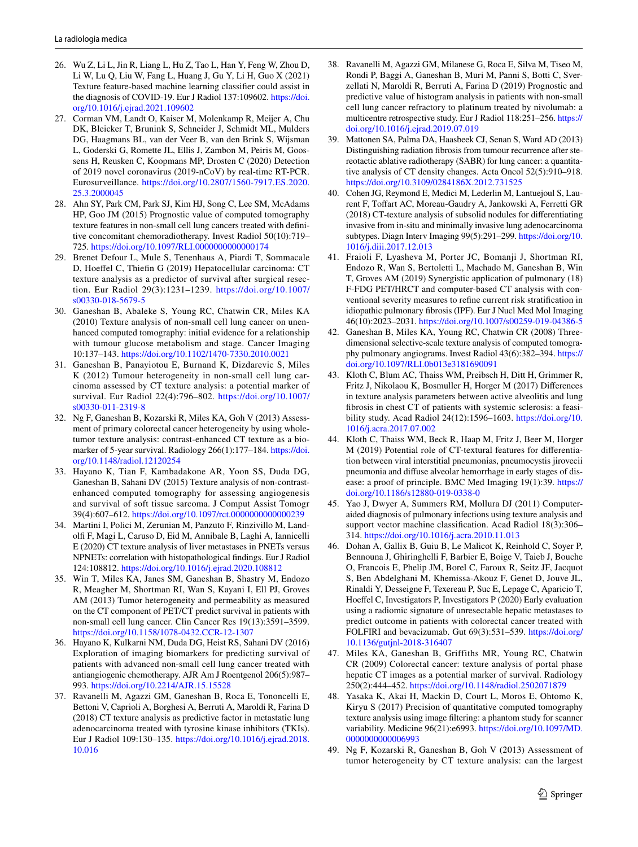- <span id="page-8-0"></span>26. Wu Z, Li L, Jin R, Liang L, Hu Z, Tao L, Han Y, Feng W, Zhou D, Li W, Lu Q, Liu W, Fang L, Huang J, Gu Y, Li H, Guo X (2021) Texture feature-based machine learning classifer could assist in the diagnosis of COVID-19. Eur J Radiol 137:109602. [https://doi.](https://doi.org/10.1016/j.ejrad.2021.109602) [org/10.1016/j.ejrad.2021.109602](https://doi.org/10.1016/j.ejrad.2021.109602)
- <span id="page-8-1"></span>27. Corman VM, Landt O, Kaiser M, Molenkamp R, Meijer A, Chu DK, Bleicker T, Brunink S, Schneider J, Schmidt ML, Mulders DG, Haagmans BL, van der Veer B, van den Brink S, Wijsman L, Goderski G, Romette JL, Ellis J, Zambon M, Peiris M, Goossens H, Reusken C, Koopmans MP, Drosten C (2020) Detection of 2019 novel coronavirus (2019-nCoV) by real-time RT-PCR. Eurosurveillance. [https://doi.org/10.2807/1560-7917.ES.2020.](https://doi.org/10.2807/1560-7917.ES.2020.25.3.2000045) [25.3.2000045](https://doi.org/10.2807/1560-7917.ES.2020.25.3.2000045)
- <span id="page-8-2"></span>28. Ahn SY, Park CM, Park SJ, Kim HJ, Song C, Lee SM, McAdams HP, Goo JM (2015) Prognostic value of computed tomography texture features in non-small cell lung cancers treated with defnitive concomitant chemoradiotherapy. Invest Radiol 50(10):719– 725.<https://doi.org/10.1097/RLI.0000000000000174>
- 29. Brenet Defour L, Mule S, Tenenhaus A, Piardi T, Sommacale D, Hoefel C, Thiefn G (2019) Hepatocellular carcinoma: CT texture analysis as a predictor of survival after surgical resection. Eur Radiol 29(3):1231–1239. [https://doi.org/10.1007/](https://doi.org/10.1007/s00330-018-5679-5) [s00330-018-5679-5](https://doi.org/10.1007/s00330-018-5679-5)
- 30. Ganeshan B, Abaleke S, Young RC, Chatwin CR, Miles KA (2010) Texture analysis of non-small cell lung cancer on unenhanced computed tomography: initial evidence for a relationship with tumour glucose metabolism and stage. Cancer Imaging 10:137–143.<https://doi.org/10.1102/1470-7330.2010.0021>
- 31. Ganeshan B, Panayiotou E, Burnand K, Dizdarevic S, Miles K (2012) Tumour heterogeneity in non-small cell lung carcinoma assessed by CT texture analysis: a potential marker of survival. Eur Radiol 22(4):796–802. [https://doi.org/10.1007/](https://doi.org/10.1007/s00330-011-2319-8) [s00330-011-2319-8](https://doi.org/10.1007/s00330-011-2319-8)
- 32. Ng F, Ganeshan B, Kozarski R, Miles KA, Goh V (2013) Assessment of primary colorectal cancer heterogeneity by using wholetumor texture analysis: contrast-enhanced CT texture as a biomarker of 5-year survival. Radiology 266(1):177–184. [https://doi.](https://doi.org/10.1148/radiol.12120254) [org/10.1148/radiol.12120254](https://doi.org/10.1148/radiol.12120254)
- 33. Hayano K, Tian F, Kambadakone AR, Yoon SS, Duda DG, Ganeshan B, Sahani DV (2015) Texture analysis of non-contrastenhanced computed tomography for assessing angiogenesis and survival of soft tissue sarcoma. J Comput Assist Tomogr 39(4):607–612.<https://doi.org/10.1097/rct.0000000000000239>
- <span id="page-8-3"></span>34. Martini I, Polici M, Zerunian M, Panzuto F, Rinzivillo M, Landolf F, Magi L, Caruso D, Eid M, Annibale B, Laghi A, Iannicelli E (2020) CT texture analysis of liver metastases in PNETs versus NPNETs: correlation with histopathological fndings. Eur J Radiol 124:108812.<https://doi.org/10.1016/j.ejrad.2020.108812>
- <span id="page-8-4"></span>35. Win T, Miles KA, Janes SM, Ganeshan B, Shastry M, Endozo R, Meagher M, Shortman RI, Wan S, Kayani I, Ell PJ, Groves AM (2013) Tumor heterogeneity and permeability as measured on the CT component of PET/CT predict survival in patients with non-small cell lung cancer. Clin Cancer Res 19(13):3591–3599. <https://doi.org/10.1158/1078-0432.CCR-12-1307>
- <span id="page-8-5"></span>36. Hayano K, Kulkarni NM, Duda DG, Heist RS, Sahani DV (2016) Exploration of imaging biomarkers for predicting survival of patients with advanced non-small cell lung cancer treated with antiangiogenic chemotherapy. AJR Am J Roentgenol 206(5):987– 993.<https://doi.org/10.2214/AJR.15.15528>
- 37. Ravanelli M, Agazzi GM, Ganeshan B, Roca E, Tononcelli E, Bettoni V, Caprioli A, Borghesi A, Berruti A, Maroldi R, Farina D (2018) CT texture analysis as predictive factor in metastatic lung adenocarcinoma treated with tyrosine kinase inhibitors (TKIs). Eur J Radiol 109:130–135. [https://doi.org/10.1016/j.ejrad.2018.](https://doi.org/10.1016/j.ejrad.2018.10.016) [10.016](https://doi.org/10.1016/j.ejrad.2018.10.016)
- <span id="page-8-6"></span>38. Ravanelli M, Agazzi GM, Milanese G, Roca E, Silva M, Tiseo M, Rondi P, Baggi A, Ganeshan B, Muri M, Panni S, Botti C, Sverzellati N, Maroldi R, Berruti A, Farina D (2019) Prognostic and predictive value of histogram analysis in patients with non-small cell lung cancer refractory to platinum treated by nivolumab: a multicentre retrospective study. Eur J Radiol 118:251–256. [https://](https://doi.org/10.1016/j.ejrad.2019.07.019) [doi.org/10.1016/j.ejrad.2019.07.019](https://doi.org/10.1016/j.ejrad.2019.07.019)
- <span id="page-8-7"></span>39. Mattonen SA, Palma DA, Haasbeek CJ, Senan S, Ward AD (2013) Distinguishing radiation fbrosis from tumour recurrence after stereotactic ablative radiotherapy (SABR) for lung cancer: a quantitative analysis of CT density changes. Acta Oncol 52(5):910–918. <https://doi.org/10.3109/0284186X.2012.731525>
- <span id="page-8-8"></span>40. Cohen JG, Reymond E, Medici M, Lederlin M, Lantuejoul S, Laurent F, Toffart AC, Moreau-Gaudry A, Jankowski A, Ferretti GR (2018) CT-texture analysis of subsolid nodules for diferentiating invasive from in-situ and minimally invasive lung adenocarcinoma subtypes. Diagn Interv Imaging 99(5):291–299. [https://doi.org/10.](https://doi.org/10.1016/j.diii.2017.12.013) [1016/j.diii.2017.12.013](https://doi.org/10.1016/j.diii.2017.12.013)
- <span id="page-8-9"></span>41. Fraioli F, Lyasheva M, Porter JC, Bomanji J, Shortman RI, Endozo R, Wan S, Bertoletti L, Machado M, Ganeshan B, Win T, Groves AM (2019) Synergistic application of pulmonary (18) F-FDG PET/HRCT and computer-based CT analysis with conventional severity measures to refne current risk stratifcation in idiopathic pulmonary fbrosis (IPF). Eur J Nucl Med Mol Imaging 46(10):2023–2031.<https://doi.org/10.1007/s00259-019-04386-5>
- <span id="page-8-10"></span>42. Ganeshan B, Miles KA, Young RC, Chatwin CR (2008) Threedimensional selective-scale texture analysis of computed tomography pulmonary angiograms. Invest Radiol 43(6):382–394. [https://](https://doi.org/10.1097/RLI.0b013e3181690091) [doi.org/10.1097/RLI.0b013e3181690091](https://doi.org/10.1097/RLI.0b013e3181690091)
- <span id="page-8-11"></span>43. Kloth C, Blum AC, Thaiss WM, Preibsch H, Ditt H, Grimmer R, Fritz J, Nikolaou K, Bosmuller H, Horger M (2017) Diferences in texture analysis parameters between active alveolitis and lung fbrosis in chest CT of patients with systemic sclerosis: a feasibility study. Acad Radiol 24(12):1596–1603. [https://doi.org/10.](https://doi.org/10.1016/j.acra.2017.07.002) [1016/j.acra.2017.07.002](https://doi.org/10.1016/j.acra.2017.07.002)
- <span id="page-8-12"></span>44. Kloth C, Thaiss WM, Beck R, Haap M, Fritz J, Beer M, Horger M (2019) Potential role of CT-textural features for diferentiation between viral interstitial pneumonias, pneumocystis jirovecii pneumonia and difuse alveolar hemorrhage in early stages of disease: a proof of principle. BMC Med Imaging 19(1):39. [https://](https://doi.org/10.1186/s12880-019-0338-0) [doi.org/10.1186/s12880-019-0338-0](https://doi.org/10.1186/s12880-019-0338-0)
- <span id="page-8-13"></span>45. Yao J, Dwyer A, Summers RM, Mollura DJ (2011) Computeraided diagnosis of pulmonary infections using texture analysis and support vector machine classification. Acad Radiol 18(3):306– 314.<https://doi.org/10.1016/j.acra.2010.11.013>
- <span id="page-8-14"></span>46. Dohan A, Gallix B, Guiu B, Le Malicot K, Reinhold C, Soyer P, Bennouna J, Ghiringhelli F, Barbier E, Boige V, Taieb J, Bouche O, Francois E, Phelip JM, Borel C, Faroux R, Seitz JF, Jacquot S, Ben Abdelghani M, Khemissa-Akouz F, Genet D, Jouve JL, Rinaldi Y, Desseigne F, Texereau P, Suc E, Lepage C, Aparicio T, Hoeffel C, Investigators P, Investigators P (2020) Early evaluation using a radiomic signature of unresectable hepatic metastases to predict outcome in patients with colorectal cancer treated with FOLFIRI and bevacizumab. Gut 69(3):531–539. [https://doi.org/](https://doi.org/10.1136/gutjnl-2018-316407) [10.1136/gutjnl-2018-316407](https://doi.org/10.1136/gutjnl-2018-316407)
- <span id="page-8-15"></span>47. Miles KA, Ganeshan B, Griffiths MR, Young RC, Chatwin CR (2009) Colorectal cancer: texture analysis of portal phase hepatic CT images as a potential marker of survival. Radiology 250(2):444–452. <https://doi.org/10.1148/radiol.2502071879>
- <span id="page-8-16"></span>48. Yasaka K, Akai H, Mackin D, Court L, Moros E, Ohtomo K, Kiryu S (2017) Precision of quantitative computed tomography texture analysis using image fltering: a phantom study for scanner variability. Medicine 96(21):e6993. [https://doi.org/10.1097/MD.](https://doi.org/10.1097/MD.0000000000006993) [0000000000006993](https://doi.org/10.1097/MD.0000000000006993)
- <span id="page-8-17"></span>49. Ng F, Kozarski R, Ganeshan B, Goh V (2013) Assessment of tumor heterogeneity by CT texture analysis: can the largest